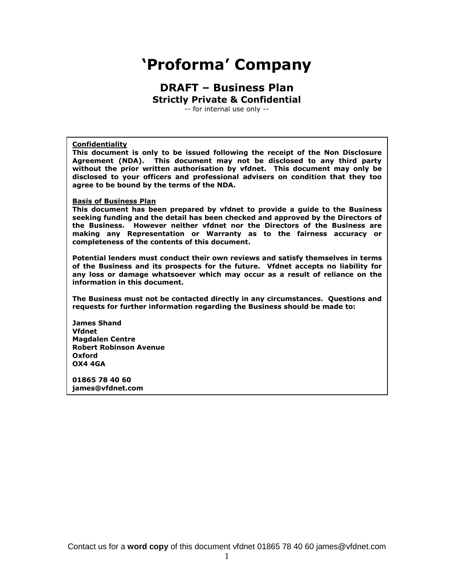# **'Proforma' Company**

# **DRAFT – Business Plan Strictly Private & Confidential**

-- for internal use only --

#### **Confidentiality**

**This document is only to be issued following the receipt of the Non Disclosure Agreement (NDA). This document may not be disclosed to any third party without the prior written authorisation by vfdnet. This document may only be disclosed to your officers and professional advisers on condition that they too agree to be bound by the terms of the NDA.**

#### **Basis of Business Plan**

**This document has been prepared by vfdnet to provide a guide to the Business seeking funding and the detail has been checked and approved by the Directors of the Business. However neither vfdnet nor the Directors of the Business are making any Representation or Warranty as to the fairness accuracy or completeness of the contents of this document.**

**Potential lenders must conduct their own reviews and satisfy themselves in terms of the Business and its prospects for the future. Vfdnet accepts no liability for any loss or damage whatsoever which may occur as a result of reliance on the information in this document.**

**The Business must not be contacted directly in any circumstances. Questions and requests for further information regarding the Business should be made to:**

**James Shand Vfdnet Magdalen Centre Robert Robinson Avenue Oxford OX4 4GA**

**01865 78 40 60 james@vfdnet.com**

Contact us for a **word copy** of this document vfdnet 01865 78 40 60 james@vfdnet.com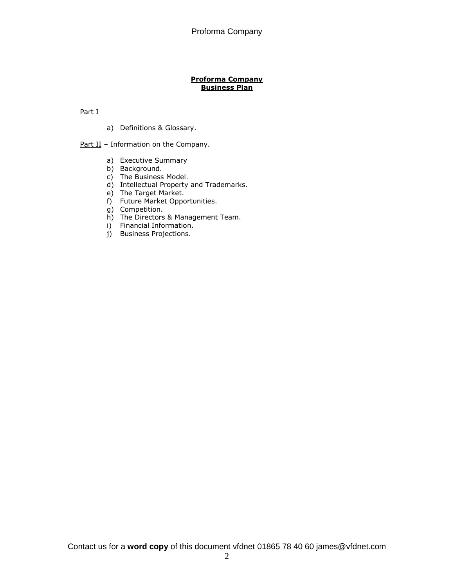#### **Proforma Company Business Plan**

Part I

a) Definitions & Glossary.

Part II - Information on the Company.

- a) Executive Summary
- b) Background.
- c) The Business Model.
- d) Intellectual Property and Trademarks.
- e) The Target Market.
- f) Future Market Opportunities.
- g) Competition.
- h) The Directors & Management Team.
- i) Financial Information.
- j) Business Projections.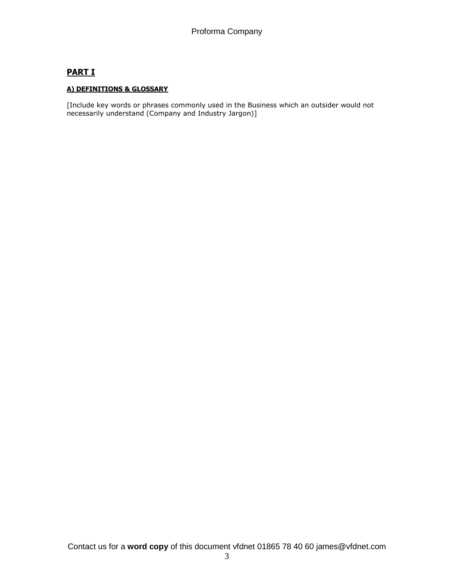# **PART I**

# **A) DEFINITIONS & GLOSSARY**

[Include key words or phrases commonly used in the Business which an outsider would not necessarily understand (Company and Industry Jargon)]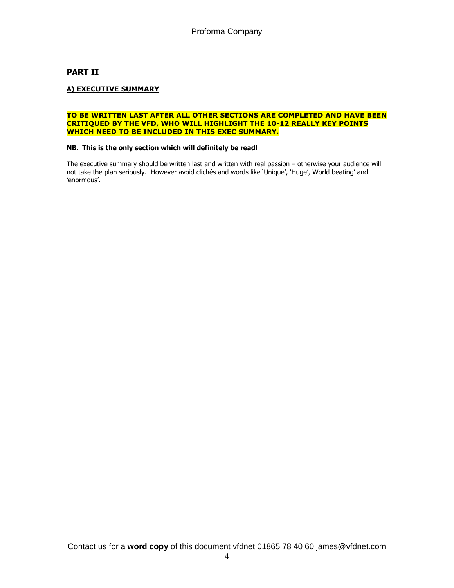# **PART II**

## **A) EXECUTIVE SUMMARY**

#### **TO BE WRITTEN LAST AFTER ALL OTHER SECTIONS ARE COMPLETED AND HAVE BEEN CRITIQUED BY THE VFD, WHO WILL HIGHLIGHT THE 10-12 REALLY KEY POINTS WHICH NEED TO BE INCLUDED IN THIS EXEC SUMMARY.**

#### **NB. This is the only section which will definitely be read!**

The executive summary should be written last and written with real passion – otherwise your audience will not take the plan seriously. However avoid clichés and words like 'Unique', 'Huge', World beating' and 'enormous'.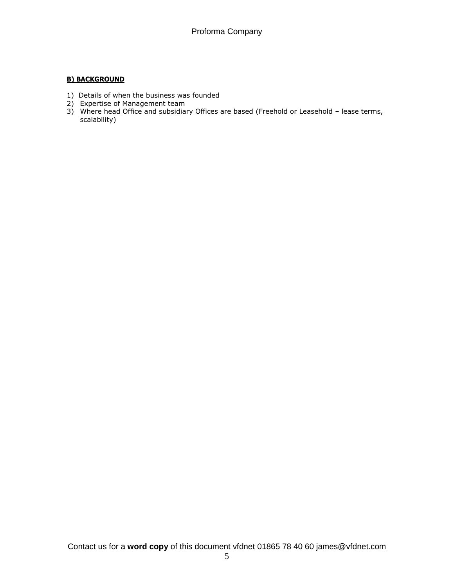## **B) BACKGROUND**

- 1) Details of when the business was founded
- 2) Expertise of Management team
- 3) Where head Office and subsidiary Offices are based (Freehold or Leasehold lease terms, scalability)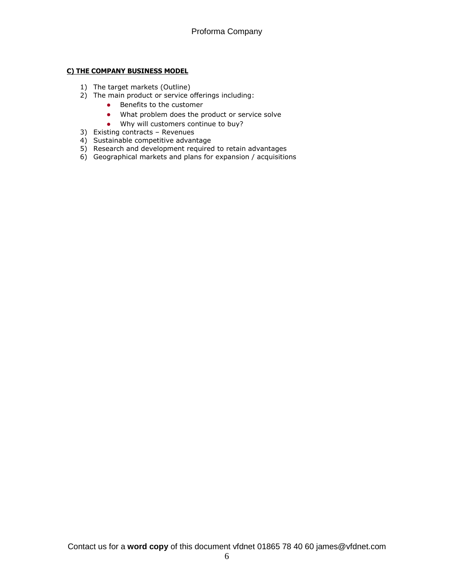# **C) THE COMPANY BUSINESS MODEL**

- 1) The target markets (Outline)
- 2) The main product or service offerings including:
	- **•** Benefits to the customer
	- What problem does the product or service solve
	- Why will customers continue to buy?
- 3) Existing contracts Revenues
- 4) Sustainable competitive advantage
- 5) Research and development required to retain advantages
- 6) Geographical markets and plans for expansion / acquisitions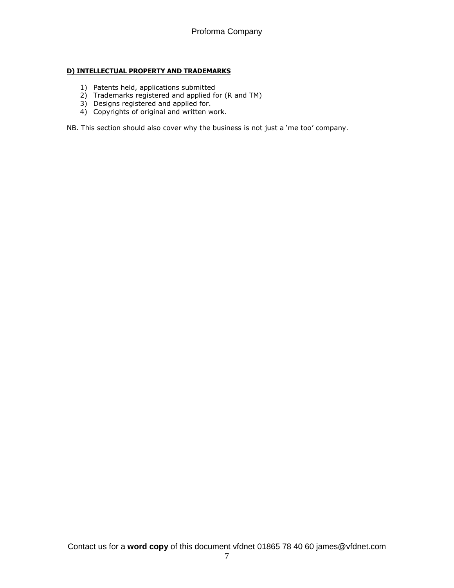## **D) INTELLECTUAL PROPERTY AND TRADEMARKS**

- 1) Patents held, applications submitted
- 2) Trademarks registered and applied for (R and TM)
- 3) Designs registered and applied for.
- 4) Copyrights of original and written work.

NB. This section should also cover why the business is not just a 'me too' company.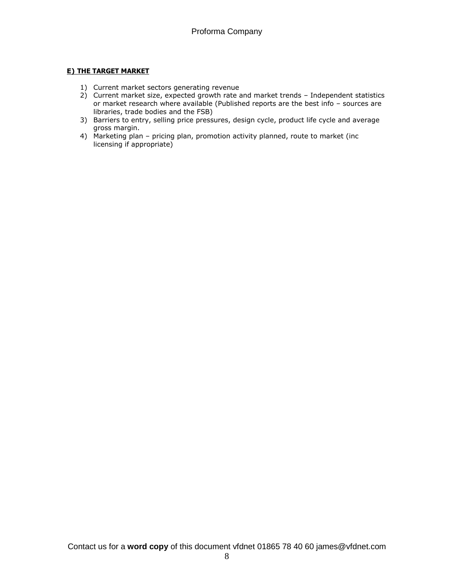# **E) THE TARGET MARKET**

- 1) Current market sectors generating revenue
- 2) Current market size, expected growth rate and market trends Independent statistics or market research where available (Published reports are the best info – sources are libraries, trade bodies and the FSB)
- 3) Barriers to entry, selling price pressures, design cycle, product life cycle and average gross margin.
- 4) Marketing plan pricing plan, promotion activity planned, route to market (inc licensing if appropriate)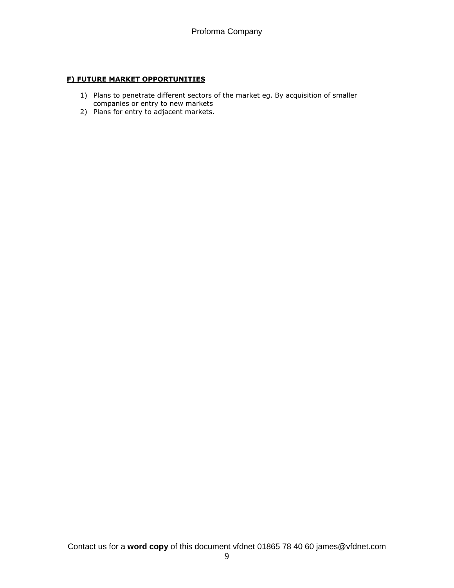#### **F) FUTURE MARKET OPPORTUNITIES**

- 1) Plans to penetrate different sectors of the market eg. By acquisition of smaller companies or entry to new markets
- 2) Plans for entry to adjacent markets.

Contact us for a **word copy** of this document vfdnet 01865 78 40 60 james@vfdnet.com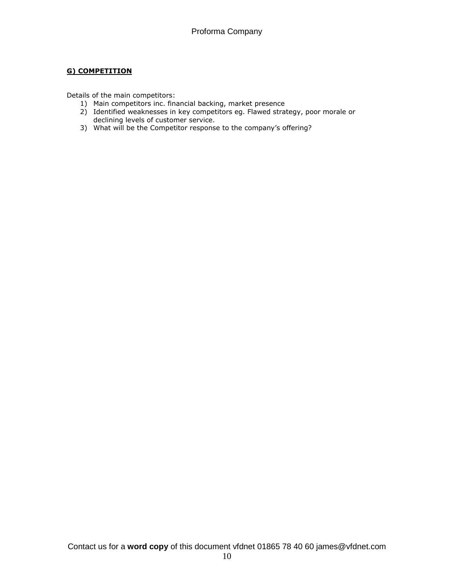# **G) COMPETITION**

Details of the main competitors:

- 1) Main competitors inc. financial backing, market presence
- 2) Identified weaknesses in key competitors eg. Flawed strategy, poor morale or declining levels of customer service.
- 3) What will be the Competitor response to the company's offering?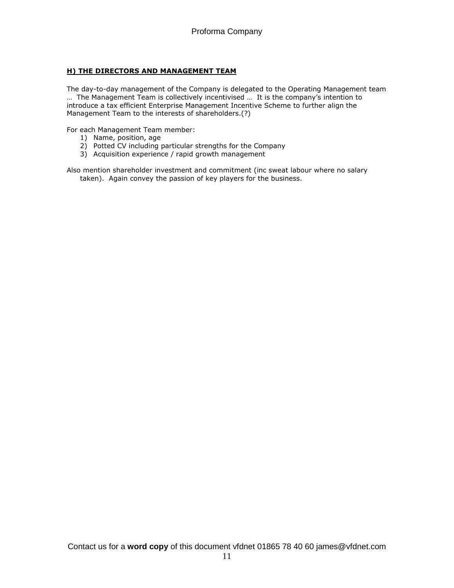# **H) THE DIRECTORS AND MANAGEMENT TEAM**

The day-to-day management of the Company is delegated to the Operating Management team … The Management Team is collectively incentivised … It is the company's intention to introduce a tax efficient Enterprise Management Incentive Scheme to further align the Management Team to the interests of shareholders.(?)

For each Management Team member:

- 1) Name, position, age
- 2) Potted CV including particular strengths for the Company
- 3) Acquisition experience / rapid growth management

Also mention shareholder investment and commitment (inc sweat labour where no salary taken). Again convey the passion of key players for the business.